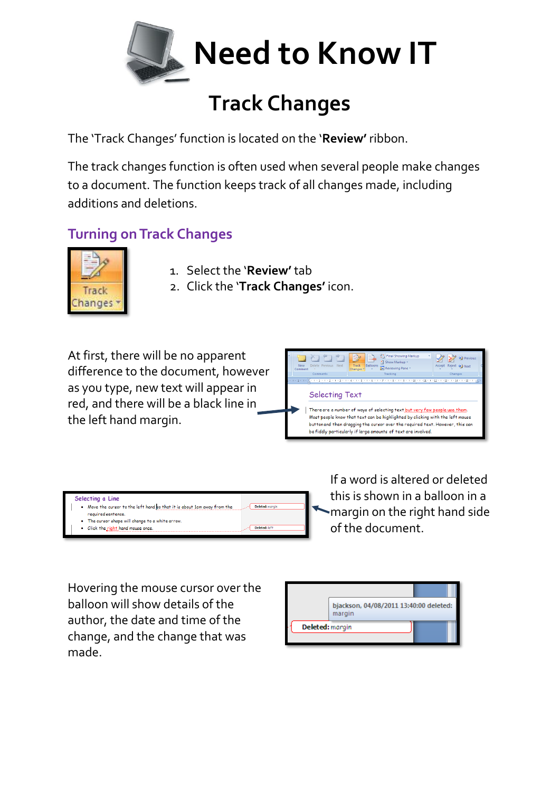

## **Track Changes**

The 'Track Changes' function is located on the '**Review'** ribbon.

The track changes function is often used when several people make changes to a document. The function keeps track of all changes made, including additions and deletions.

## **Turning on Track Changes**



- 1. Select the '**Review'** tab
- 2. Click the '**Track Changes'** icon.

At first, there will be no apparent difference to the document, however as you type, new text will appear in red, and there will be a black line in the left hand margin.



| Selecting a Line                                                                                                             |  |
|------------------------------------------------------------------------------------------------------------------------------|--|
| Move the cursor to the left hand so that it is about 1cm away from the<br>Deleted: marain<br>$\bullet$<br>required sentence. |  |
| • The cursor shape will change to a white arrow.                                                                             |  |
| • Click the right hand mouse once.<br>Deleted: left                                                                          |  |

If a word is altered or deleted this is shown in a balloon in a margin on the right hand side of the document.

Hovering the mouse cursor over the balloon will show details of the author, the date and time of the change, and the change that was made.